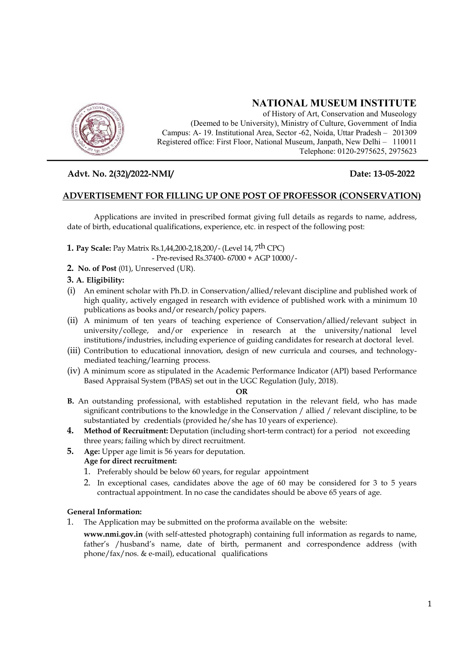

# **NATIONAL MUSEUM INSTITUTE**

of History of Art, Conservation and Museology (Deemed to be University), Ministry of Culture, Government of India Campus: A- 19. Institutional Area, Sector -62, Noida, Uttar Pradesh – 201309 Registered office: First Floor, National Museum, Janpath, New Delhi – 110011 Telephone: 0120-2975625, 2975623

## **Advt. No. 2(32)/2022-NMI/ Date: 13-05-2022**

## **ADVERTISEMENT FOR FILLING UP ONE POST OF PROFESSOR (CONSERVATION)**

Applications are invited in prescribed format giving full details as regards to name, address, date of birth, educational qualifications, experience, etc. in respect of the following post:

**1. Pay Scale:** Pay Matrix Rs.1,44,200-2,18,200/- (Level 14, 7th CPC)

- Pre-revised Rs.37400- 67000 + AGP 10000/-

**2. No. of Post** (01), Unreserved (UR).

## **3. A. Eligibility:**

- (i) An eminent scholar with Ph.D. in Conservation/allied/relevant discipline and published work of high quality, actively engaged in research with evidence of published work with a minimum 10 publications as books and/or research/policy papers.
- (ii) A minimum of ten years of teaching experience of Conservation/allied/relevant subject in university/college, and/or experience in research at the university/national level institutions/industries, including experience of guiding candidates for research at doctoral level.
- (iii) Contribution to educational innovation, design of new curricula and courses, and technologymediated teaching/learning process.
- (iv) A minimum score as stipulated in the Academic Performance Indicator (API) based Performance Based Appraisal System (PBAS) set out in the UGC Regulation (July, 2018).

#### **OR**

- **B.** An outstanding professional, with established reputation in the relevant field, who has made significant contributions to the knowledge in the Conservation / allied / relevant discipline, to be substantiated by credentials (provided he/she has 10 years of experience).
- **4. Method of Recruitment:** Deputation (including short-term contract) for a period not exceeding three years; failing which by direct recruitment.
- **5. Age:** Upper age limit is 56 years for deputation. **Age for direct recruitment:** 
	- 1. Preferably should be below 60 years, for regular appointment
	- 2. In exceptional cases, candidates above the age of 60 may be considered for 3 to 5 years contractual appointment. In no case the candidates should be above 65 years of age.

#### **General Information:**

- 1. The Application may be submitted on the proforma available on the website:
	- **www.nmi.gov.in** (with self-attested photograph) containing full information as regards to name, father's /husband's name, date of birth, permanent and correspondence address (with phone/fax/nos. & e-mail), educational qualifications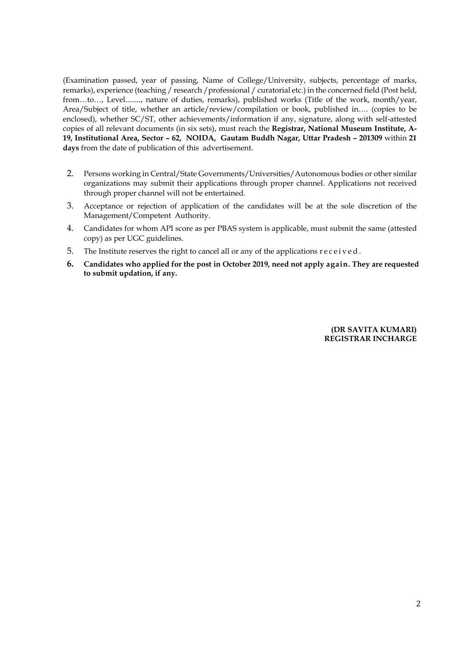(Examination passed, year of passing, Name of College/University, subjects, percentage of marks, remarks), experience (teaching / research /professional / curatorial etc.) in the concerned field (Post held, from…to…, Level........, nature of duties, remarks), published works (Title of the work, month/year, Area/Subject of title, whether an article/review/compilation or book, published in…. (copies to be enclosed), whether SC/ST, other achievements/information if any, signature, along with self-attested copies of all relevant documents (in six sets), must reach the **Registrar, National Museum Institute, A-19, Institutional Area, Sector – 62, NOIDA, Gautam Buddh Nagar, Uttar Pradesh – 201309** within **21 days** from the date of publication of this advertisement.

- 2. Persons working in Central/State Governments/Universities/Autonomous bodies or other similar organizations may submit their applications through proper channel. Applications not received through proper channel will not be entertained.
- 3. Acceptance or rejection of application of the candidates will be at the sole discretion of the Management/Competent Authority.
- 4. Candidates for whom API score as per PBAS system is applicable, must submit the same (attested copy) as per UGC guidelines.
- 5. The Institute reserves the right to cancel all or any of the applications r e c e i v e d .
- **6. Candidates who applied for the post in October 2019, need not apply again. They are requested to submit updation, if any.**

**(DR SAVITA KUMARI) REGISTRAR INCHARGE**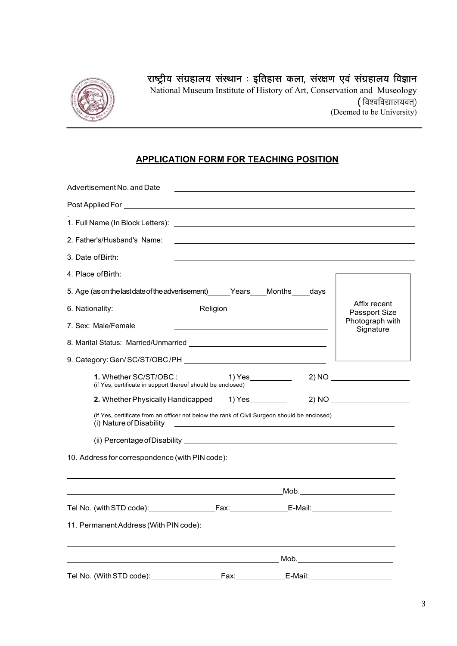

# राष्ट्रीय संग्रहालय संस्थान : इतिहास कला, संरक्षण एवं संग्रहालय विज्ञान

National Museum Institute of History of Art, Conservation and Museology ( विश्वविद्यालयवत्) (Deemed to be University)

## **APPLICATION FORM FOR TEACHING POSITION**

| Advertisement No. and Date                                                                                                                                                                                                     |      | <u> 1989 - Johann Barbara, martin a</u>              |                               |
|--------------------------------------------------------------------------------------------------------------------------------------------------------------------------------------------------------------------------------|------|------------------------------------------------------|-------------------------------|
| Post Applied For Post Applied For                                                                                                                                                                                              |      |                                                      |                               |
|                                                                                                                                                                                                                                |      |                                                      |                               |
| 2. Father's/Husband's Name:                                                                                                                                                                                                    |      |                                                      |                               |
| 3. Date of Birth:                                                                                                                                                                                                              |      |                                                      |                               |
| 4. Place of Birth:                                                                                                                                                                                                             |      |                                                      |                               |
| 5. Age (as on the last date of the advertisement) ______Years ____Months _____days                                                                                                                                             |      |                                                      |                               |
|                                                                                                                                                                                                                                |      |                                                      | Affix recent<br>Passport Size |
| 7. Sex: Male/Female                                                                                                                                                                                                            |      |                                                      | Photograph with<br>Signature  |
|                                                                                                                                                                                                                                |      |                                                      |                               |
|                                                                                                                                                                                                                                |      |                                                      |                               |
| 1. Whether SC/ST/OBC:<br>(if Yes, certificate in support thereof should be enclosed)                                                                                                                                           |      |                                                      |                               |
| 2. Whether Physically Handicapped 1) Yes                                                                                                                                                                                       |      |                                                      |                               |
| (if Yes, certificate from an officer not below the rank of Civil Surgeon should be enclosed)<br>(i) Nature of Disability                                                                                                       |      |                                                      |                               |
| (ii) Percentage of Disability Law and Contract and Contract and Contract and Contract and Contract and Contract and Contract and Contract and Contract and Contract and Contract and Contract and Contract and Contract and Co |      |                                                      |                               |
| 10. Address for correspondence (with PIN code): ________________________________                                                                                                                                               |      |                                                      |                               |
|                                                                                                                                                                                                                                |      | <u>Mob. The contract of the contract of the Mob.</u> |                               |
|                                                                                                                                                                                                                                |      |                                                      |                               |
|                                                                                                                                                                                                                                |      |                                                      |                               |
|                                                                                                                                                                                                                                |      |                                                      |                               |
| Tel No. (With STD code):                                                                                                                                                                                                       | Fax: | E-Mail:                                              |                               |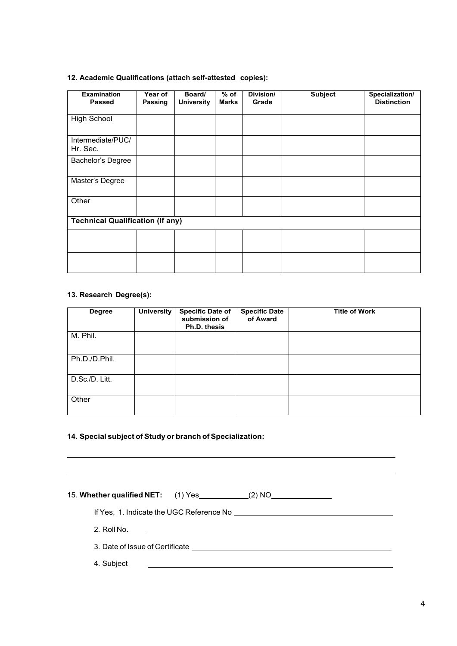#### **12. Academic Qualifications (attach self-attested copies):**

| <b>Examination</b><br><b>Passed</b>     | Year of<br>Passing | Board/<br><b>University</b> | $%$ of<br>Marks | Division/<br>Grade | <b>Subject</b> | Specialization/<br><b>Distinction</b> |
|-----------------------------------------|--------------------|-----------------------------|-----------------|--------------------|----------------|---------------------------------------|
| <b>High School</b>                      |                    |                             |                 |                    |                |                                       |
| Intermediate/PUC/<br>Hr. Sec.           |                    |                             |                 |                    |                |                                       |
| Bachelor's Degree                       |                    |                             |                 |                    |                |                                       |
| Master's Degree                         |                    |                             |                 |                    |                |                                       |
| Other                                   |                    |                             |                 |                    |                |                                       |
| <b>Technical Qualification (If any)</b> |                    |                             |                 |                    |                |                                       |
|                                         |                    |                             |                 |                    |                |                                       |
|                                         |                    |                             |                 |                    |                |                                       |

#### **13. Research Degree(s):**

| <b>Degree</b>  | <b>University</b> | <b>Specific Date of</b><br>submission of<br>Ph.D. thesis | <b>Specific Date</b><br>of Award | <b>Title of Work</b> |
|----------------|-------------------|----------------------------------------------------------|----------------------------------|----------------------|
| M. Phil.       |                   |                                                          |                                  |                      |
| Ph.D./D.Phil.  |                   |                                                          |                                  |                      |
| D.Sc./D. Litt. |                   |                                                          |                                  |                      |
| Other          |                   |                                                          |                                  |                      |

#### **14. Special subject of Study or branch of Specialization:**

15. **Whether qualified NET:** (1) Yes \_\_\_\_\_\_\_\_\_\_(2) NO\_\_\_\_\_\_\_\_\_\_\_\_\_\_\_\_\_\_\_\_\_\_\_\_\_\_\_\_ If Yes, 1. Indicate the UGC Reference No 2. Roll No. 3. Date of Issue of Certificate 4. Subject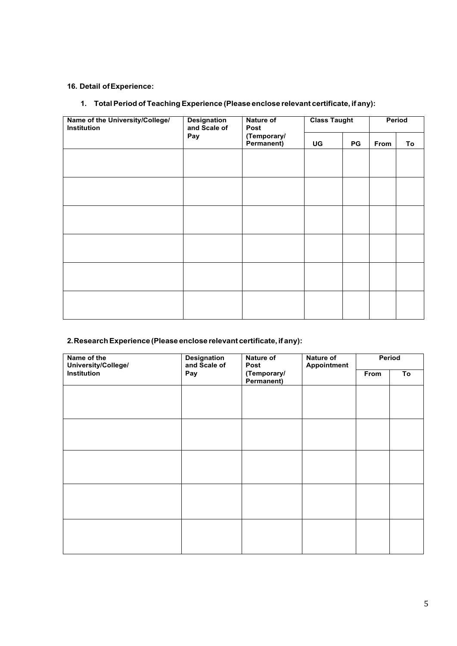## **16. Detail of Experience:**

## **1. Total Period of Teaching Experience (Please enclose relevant certificate, if any):**

| Name of the University/College/<br>Institution | <b>Designation</b><br>and Scale of | Nature of<br>Post         |    | <b>Class Taught</b> |      | Period |  |
|------------------------------------------------|------------------------------------|---------------------------|----|---------------------|------|--------|--|
|                                                | Pay                                | (Temporary/<br>Permanent) | UG | PG                  | From | To     |  |
|                                                |                                    |                           |    |                     |      |        |  |
|                                                |                                    |                           |    |                     |      |        |  |
|                                                |                                    |                           |    |                     |      |        |  |
|                                                |                                    |                           |    |                     |      |        |  |
|                                                |                                    |                           |    |                     |      |        |  |
|                                                |                                    |                           |    |                     |      |        |  |
|                                                |                                    |                           |    |                     |      |        |  |
|                                                |                                    |                           |    |                     |      |        |  |
|                                                |                                    |                           |    |                     |      |        |  |
|                                                |                                    |                           |    |                     |      |        |  |
|                                                |                                    |                           |    |                     |      |        |  |
|                                                |                                    |                           |    |                     |      |        |  |

#### **2. Research Experience (Please enclose relevant certificate, if any):**

| Name of the<br>University/College/ | <b>Designation</b><br>and Scale of | <b>Nature of</b><br><b>Nature of</b><br>Appointment<br>Post |  | Period |    |  |
|------------------------------------|------------------------------------|-------------------------------------------------------------|--|--------|----|--|
| Institution                        | Pay                                | (Temporary/<br>Permanent)                                   |  | From   | To |  |
|                                    |                                    |                                                             |  |        |    |  |
|                                    |                                    |                                                             |  |        |    |  |
|                                    |                                    |                                                             |  |        |    |  |
|                                    |                                    |                                                             |  |        |    |  |
|                                    |                                    |                                                             |  |        |    |  |
|                                    |                                    |                                                             |  |        |    |  |
|                                    |                                    |                                                             |  |        |    |  |
|                                    |                                    |                                                             |  |        |    |  |
|                                    |                                    |                                                             |  |        |    |  |
|                                    |                                    |                                                             |  |        |    |  |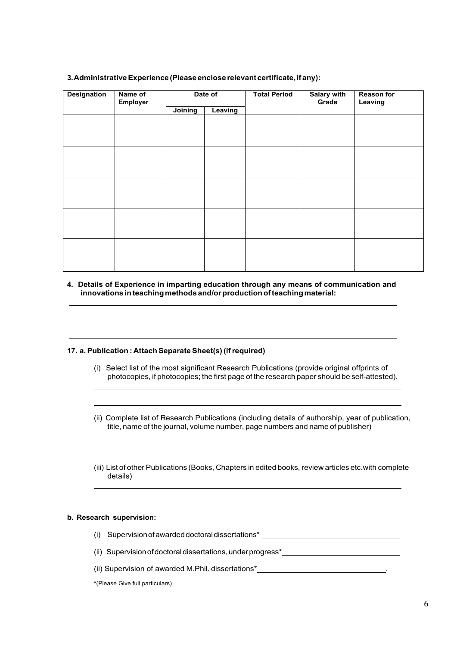| <b>Designation</b> | Name of<br>Date of<br>Employer |         |         | <b>Total Period</b> | <b>Salary with</b><br>Grade | <b>Reason for</b><br>Leaving |
|--------------------|--------------------------------|---------|---------|---------------------|-----------------------------|------------------------------|
|                    |                                | Joining | Leaving |                     |                             |                              |
|                    |                                |         |         |                     |                             |                              |
|                    |                                |         |         |                     |                             |                              |
|                    |                                |         |         |                     |                             |                              |
|                    |                                |         |         |                     |                             |                              |
|                    |                                |         |         |                     |                             |                              |
|                    |                                |         |         |                     |                             |                              |
|                    |                                |         |         |                     |                             |                              |
|                    |                                |         |         |                     |                             |                              |
|                    |                                |         |         |                     |                             |                              |
|                    |                                |         |         |                     |                             |                              |
|                    |                                |         |         |                     |                             |                              |
|                    |                                |         |         |                     |                             |                              |
|                    |                                |         |         |                     |                             |                              |
|                    |                                |         |         |                     |                             |                              |
|                    |                                |         |         |                     |                             |                              |

#### **3. Administrative Experience (Please enclose relevant certificate, if any):**

#### **4. Details of Experience in imparting education through any means of communication and innovations in teaching methods and/or production of teaching material:**

#### **17. a. Publication : Attach Separate Sheet(s) (if required)**

- (i) Select list of the most significant Research Publications (provide original offprints of photocopies, if photocopies; the first page of the research paper should be self-attested).
- (ii) Complete list of Research Publications (including details of authorship, year of publication, title, name of the journal, volume number, page numbers and name of publisher)
- (iii) List of other Publications (Books, Chapters in edited books, review articles etc.with complete details)

#### **b. Research supervision:**

- (i) Supervision of awarded doctoral dissertations\*
- (ii) Supervision of doctoral dissertations, under progress\*
- (ii) Supervision of awarded M.Phil. dissertations\* .
- **\***(Please Give full particulars)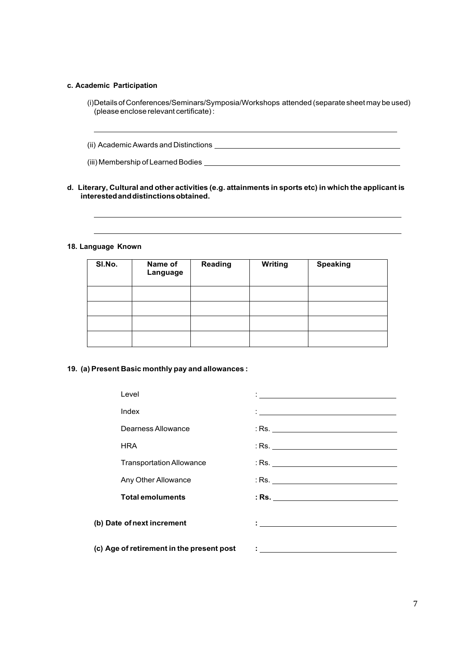#### **c. Academic Participation**

(i) Details of Conferences/Seminars/Symposia/Workshops attended (separate sheet may be used) (please enclose relevant certificate) :

(ii) Academic Awards and Distinctions

(iii) Membership of Learned Bodies

#### **d. Literary, Cultural and other activities (e.g. attainments in sports etc) in which the applicant is interested and distinctions obtained.**

**18. Language Known** 

| SI.No. | Name of<br>Language | <b>Reading</b> | <b>Writing</b> | <b>Speaking</b> |
|--------|---------------------|----------------|----------------|-----------------|
|        |                     |                |                |                 |
|        |                     |                |                |                 |
|        |                     |                |                |                 |
|        |                     |                |                |                 |

#### **19. (a) Present Basic monthly pay and allowances :**

| Level                                     | <u> 1989 - Johann Harry Harry Harry Harry Harry Harry Harry Harry Harry Harry Harry Harry Harry Harry Harry Harry</u> |
|-------------------------------------------|-----------------------------------------------------------------------------------------------------------------------|
| Index                                     | <u> Alexandria de la contrada de la contrada de la contrada de la contrada de la contrada de la contrada de la c</u>  |
| Dearness Allowance                        |                                                                                                                       |
| <b>HRA</b>                                |                                                                                                                       |
| <b>Transportation Allowance</b>           |                                                                                                                       |
| Any Other Allowance                       |                                                                                                                       |
| <b>Total emoluments</b>                   | $:$ Rs.                                                                                                               |
| (b) Date of next increment                | the contract of the contract of the contract of the contract of the contract of                                       |
| (c) Age of retirement in the present post |                                                                                                                       |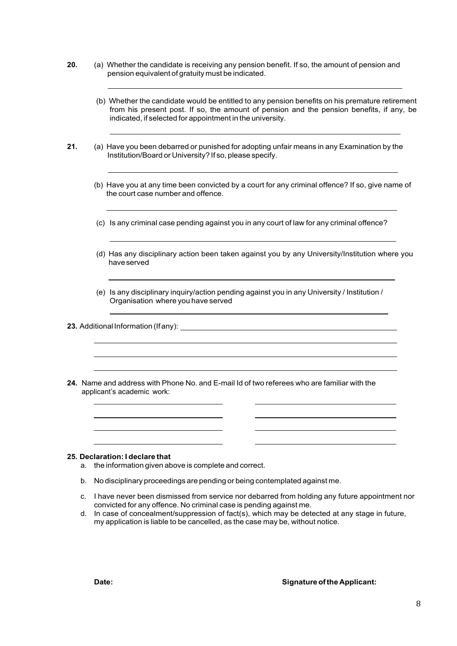- **20.** (a) Whether the candidate is receiving any pension benefit. If so, the amount of pension and pension equivalent of gratuity must be indicated.
	- (b) Whether the candidate would be entitled to any pension benefits on his premature retirement from his present post. If so, the amount of pension and the pension benefits, if any, be indicated, if selected for appointment in the university.
- **21.** (a) Have you been debarred or punished for adopting unfair means in any Examination by the Institution/Board or University? If so, please specify.
	- (b) Have you at any time been convicted by a court for any criminal offence? If so, give name of the court case number and offence.
	- (c) Is any criminal case pending against you in any court of law for any criminal offence?
	- (d) Has any disciplinary action been taken against you by any University/Institution where you have served
	- (e) Is any disciplinary inquiry/action pending against you in any University / Institution / Organisation where you have served

**23.** Additional Information (If any):

**24.** Name and address with Phone No. and E-mail Id of two referees who are familiar with the applicant's academic work:

#### **25. Declaration: I declare that**

- a. the information given above is complete and correct.
- b. No disciplinary proceedings are pending or being contemplated against me.
- c. I have never been dismissed from service nor debarred from holding any future appointment nor convicted for any offence. No criminal case is pending against me.
- d. In case of concealment/suppression of fact(s), which may be detected at any stage in future, my application is liable to be cancelled, as the case may be, without notice.

#### **Date:**  $\qquad \qquad \qquad$  **Date:**  $\qquad \qquad \qquad$  **Signature of the Applicant:**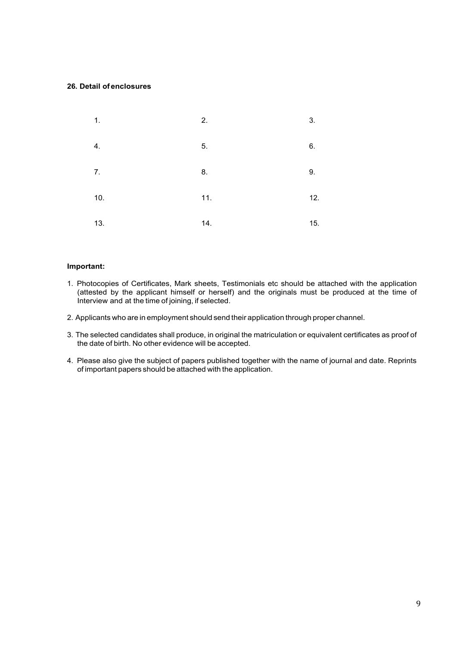#### **26. Detail of enclosures**

| $\mathbf 1$ .    | 2.  | 3.  |
|------------------|-----|-----|
| $\overline{4}$ . | 5.  | 6.  |
| 7.               | 8.  | 9.  |
| 10.              | 11. | 12. |
| 13.              | 14. | 15. |

#### **Important:**

- 1. Photocopies of Certificates, Mark sheets, Testimonials etc should be attached with the application (attested by the applicant himself or herself) and the originals must be produced at the time of Interview and at the time of joining, if selected.
- 2. Applicants who are in employment should send their application through proper channel.
- 3. The selected candidates shall produce, in original the matriculation or equivalent certificates as proof of the date of birth. No other evidence will be accepted.
- 4. Please also give the subject of papers published together with the name of journal and date. Reprints of important papers should be attached with the application.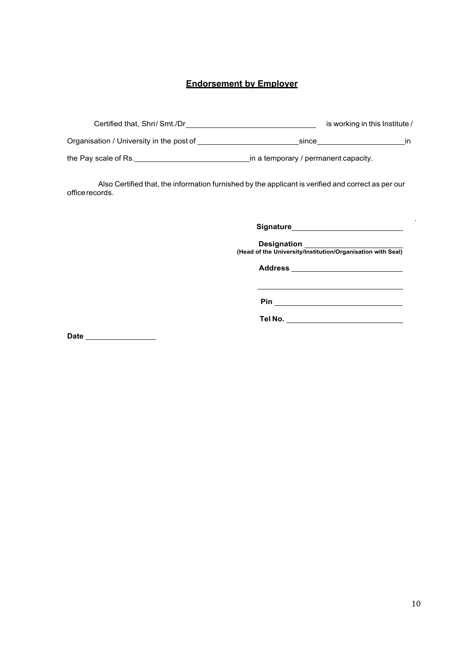## **Endorsement by Employer**

| Certified that, Shri/Smt./Dr             | is working in this Institute /       |    |  |  |  |
|------------------------------------------|--------------------------------------|----|--|--|--|
| Organisation / University in the post of | since                                | ın |  |  |  |
| the Pay scale of Rs.                     | in a temporary / permanent capacity. |    |  |  |  |

Also Certified that, the information furnished by the applicant is verified and correct as per our office records.

**Signature**

**Designation (Head of the University/Institution/Organisation with Seal)**

**Address**

**Pin**

**Tel No.**

**Date**

.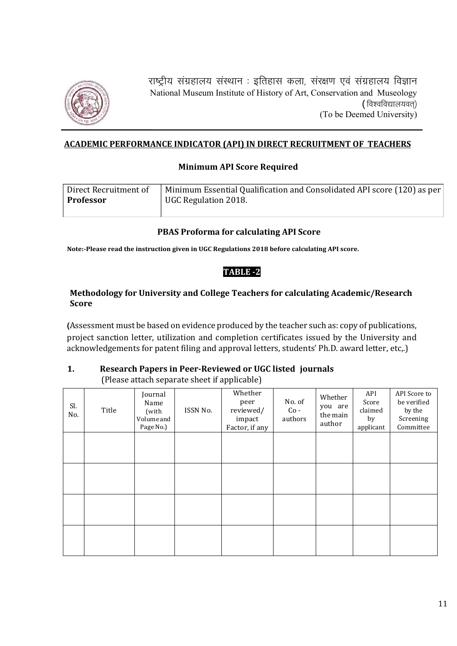

राष्ट्रीय संग्रहालय संस्थान : इतिहास कला, संरक्षण एवं संग्रहालय विज्ञान National Museum Institute of History of Art, Conservation and Museology (विश्वविद्यालयवत्) (To be Deemed University)

## **ACADEMIC PERFORMANCE INDICATOR (API) IN DIRECT RECRUITMENT OF TEACHERS**

#### **Minimum API Score Required**

| Direct Recruitment of | Minimum Essential Qualification and Consolidated API score (120) as per |
|-----------------------|-------------------------------------------------------------------------|
| <b>Professor</b>      | UGC Regulation 2018.                                                    |

## **PBAS Proforma for calculating API Score**

**Note:‐Please read the instruction given in UGC Regulations 2018 before calculating API score.**

## **TABLE ‐2**

## **Methodology for University and College Teachers for calculating Academic/Research Score**

(Assessment must be based on evidence produced by the teacher such as: copy of publications, project sanction letter, utilization and completion certificates issued by the University and acknowledgements for patent filing and approval letters, students' Ph.D. award letter, etc,.)

#### **1. Research Papers in Peer‐Reviewed or UGC listed journals** (Please attach separate sheet if applicable)

| Sl.<br>No. | Title | Journal<br>Name<br>(with<br>Volumeand<br>Page No.) | ISSN No. | Whether<br>peer<br>reviewed/<br>impact<br>Factor, if any | No. of<br>$Co -$<br>authors | Whether<br>you are<br>the main<br>author | API<br>Score<br>claimed<br>by<br>applicant | API Score to<br>be verified<br>by the<br>Screening<br>Committee |
|------------|-------|----------------------------------------------------|----------|----------------------------------------------------------|-----------------------------|------------------------------------------|--------------------------------------------|-----------------------------------------------------------------|
|            |       |                                                    |          |                                                          |                             |                                          |                                            |                                                                 |
|            |       |                                                    |          |                                                          |                             |                                          |                                            |                                                                 |
|            |       |                                                    |          |                                                          |                             |                                          |                                            |                                                                 |
|            |       |                                                    |          |                                                          |                             |                                          |                                            |                                                                 |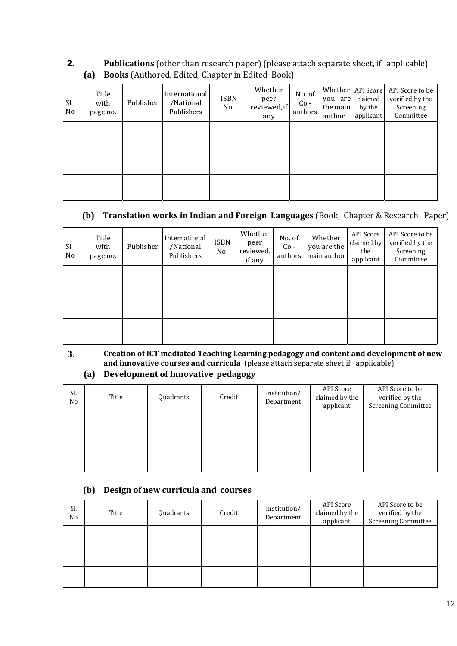## **2. Publications** (other than research paper) (please attach separate sheet, if applicable) **(a)** Books (Authored, Edited, Chapter in Edited Book)

| Sl.<br>No | Title<br>with<br>page no. | Publisher | International<br>/National<br>Publishers | ISBN<br>No. | Whether<br>peer<br>reviewed, if<br>any | No. of<br>$Co -$<br>authors | you are<br>the main<br>author | Whether   API Score<br>claimed<br>by the<br>applicant | API Score to be<br>verified by the<br>Screening<br>Committee |
|-----------|---------------------------|-----------|------------------------------------------|-------------|----------------------------------------|-----------------------------|-------------------------------|-------------------------------------------------------|--------------------------------------------------------------|
|           |                           |           |                                          |             |                                        |                             |                               |                                                       |                                                              |
|           |                           |           |                                          |             |                                        |                             |                               |                                                       |                                                              |
|           |                           |           |                                          |             |                                        |                             |                               |                                                       |                                                              |

## **(b) Translation works in Indian and Foreign Languages** (Book, Chapter & Research Paper)

| Sl.<br>No | Title<br>with<br>page no. | Publisher | International<br>/National<br>Publishers | <b>ISBN</b><br>No. | Whether<br>peer<br>reviewed,<br>if any | No. of<br>$Co -$<br>authors | Whether<br>you are the<br>main author | API Score<br>claimed by<br>the<br>applicant | API Score to be<br>verified by the<br>Screening<br>Committee |
|-----------|---------------------------|-----------|------------------------------------------|--------------------|----------------------------------------|-----------------------------|---------------------------------------|---------------------------------------------|--------------------------------------------------------------|
|           |                           |           |                                          |                    |                                        |                             |                                       |                                             |                                                              |
|           |                           |           |                                          |                    |                                        |                             |                                       |                                             |                                                              |
|           |                           |           |                                          |                    |                                        |                             |                                       |                                             |                                                              |

# **3. Creation of ICT mediated Teaching Learning pedagogy and content and development of new and innovative courses and curricula** (please attach separate sheet if applicable)

# **(a) Development of Innovative pedagogy**

| Sl.<br>No | Title | Quadrants | Credit | Institution/<br>Department | API Score<br>claimed by the<br>applicant | API Score to be<br>verified by the<br><b>Screening Committee</b> |
|-----------|-------|-----------|--------|----------------------------|------------------------------------------|------------------------------------------------------------------|
|           |       |           |        |                            |                                          |                                                                  |
|           |       |           |        |                            |                                          |                                                                  |
|           |       |           |        |                            |                                          |                                                                  |

## **(b) Design of new curricula and courses**

| Sl.<br>No | Title | Quadrants | Credit | Institution/<br>Department | API Score<br>claimed by the<br>applicant | API Score to be<br>verified by the<br><b>Screening Committee</b> |
|-----------|-------|-----------|--------|----------------------------|------------------------------------------|------------------------------------------------------------------|
|           |       |           |        |                            |                                          |                                                                  |
|           |       |           |        |                            |                                          |                                                                  |
|           |       |           |        |                            |                                          |                                                                  |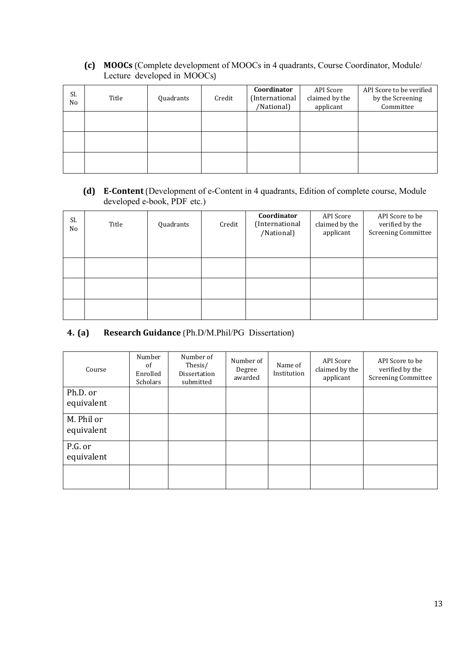**(c) MOOCs** (Complete development of MOOCs in 4 quadrants, Course Coordinator, Module/ Lecture developed in MOOCs) 

| Sl.<br>No | Title | Quadrants | Credit | Coordinator<br>(International<br>/National) | API Score<br>claimed by the<br>applicant | API Score to be verified<br>by the Screening<br>Committee |
|-----------|-------|-----------|--------|---------------------------------------------|------------------------------------------|-----------------------------------------------------------|
|           |       |           |        |                                             |                                          |                                                           |
|           |       |           |        |                                             |                                          |                                                           |
|           |       |           |        |                                             |                                          |                                                           |

**(d) E‐Content** (Development of e-Content in 4 quadrants, Edition of complete course, Module developed e-book, PDF etc.)

| Sl.<br>No | Title | Quadrants | Credit | Coordinator<br>(International<br>/National) | API Score<br>claimed by the<br>applicant | API Score to be<br>verified by the<br><b>Screening Committee</b> |
|-----------|-------|-----------|--------|---------------------------------------------|------------------------------------------|------------------------------------------------------------------|
|           |       |           |        |                                             |                                          |                                                                  |
|           |       |           |        |                                             |                                          |                                                                  |
|           |       |           |        |                                             |                                          |                                                                  |

# **4. (a) Research Guidance** (Ph.D/M.Phil/PG Dissertation)

| Course                   | Number<br>of<br>Enrolled<br>Scholars | Number of<br>Thesis/<br>Dissertation<br>submitted | Number of<br>Degree<br>awarded | Name of<br>Institution | API Score<br>claimed by the<br>applicant | API Score to be<br>verified by the<br><b>Screening Committee</b> |
|--------------------------|--------------------------------------|---------------------------------------------------|--------------------------------|------------------------|------------------------------------------|------------------------------------------------------------------|
| Ph.D. or<br>equivalent   |                                      |                                                   |                                |                        |                                          |                                                                  |
| M. Phil or<br>equivalent |                                      |                                                   |                                |                        |                                          |                                                                  |
| P.G. or<br>equivalent    |                                      |                                                   |                                |                        |                                          |                                                                  |
|                          |                                      |                                                   |                                |                        |                                          |                                                                  |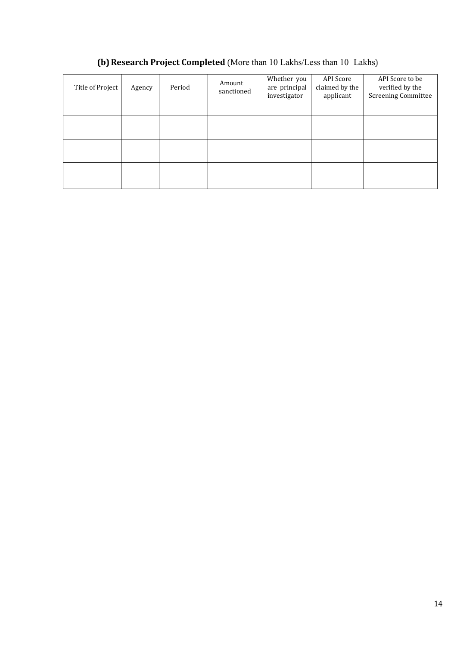# **(b)Research Project Completed** (More than 10 Lakhs/Less than 10 Lakhs)

| Title of Project | Agency | Period | Amount<br>sanctioned | Whether you<br>are principal<br>investigator | API Score<br>claimed by the<br>applicant | API Score to be<br>verified by the<br><b>Screening Committee</b> |
|------------------|--------|--------|----------------------|----------------------------------------------|------------------------------------------|------------------------------------------------------------------|
|                  |        |        |                      |                                              |                                          |                                                                  |
|                  |        |        |                      |                                              |                                          |                                                                  |
|                  |        |        |                      |                                              |                                          |                                                                  |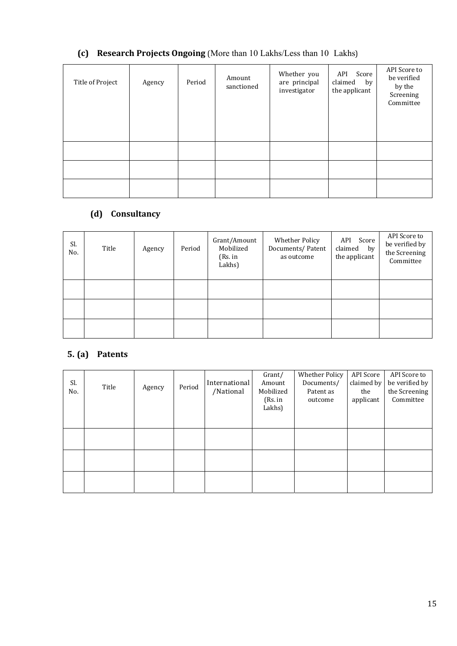# **(c) Research Projects Ongoing** (More than 10 Lakhs/Less than 10 Lakhs)

| Title of Project | Agency | Period | Amount<br>sanctioned | Whether you<br>are principal<br>investigator | API<br>Score<br>claimed<br>by<br>the applicant | API Score to<br>be verified<br>by the<br>Screening<br>Committee |
|------------------|--------|--------|----------------------|----------------------------------------------|------------------------------------------------|-----------------------------------------------------------------|
|                  |        |        |                      |                                              |                                                |                                                                 |
|                  |        |        |                      |                                              |                                                |                                                                 |
|                  |        |        |                      |                                              |                                                |                                                                 |

# **(d) Consultancy**

| Sl.<br>No. | Title | Agency | Period | Grant/Amount<br>Mobilized<br>(Rs. in<br>Lakhs) | Whether Policy<br>Documents/Patent<br>as outcome | API Score<br>claimed<br>by<br>the applicant | API Score to<br>be verified by<br>the Screening<br>Committee |
|------------|-------|--------|--------|------------------------------------------------|--------------------------------------------------|---------------------------------------------|--------------------------------------------------------------|
|            |       |        |        |                                                |                                                  |                                             |                                                              |
|            |       |        |        |                                                |                                                  |                                             |                                                              |
|            |       |        |        |                                                |                                                  |                                             |                                                              |

# **5. (a) Patents**

| Sl.<br>No. | Title | Agency | Period | International<br>/National | Grant/<br>Amount<br>Mobilized<br>(Rs. in<br>Lakhs) | Whether Policy<br>Documents/<br>Patent as<br>outcome | API Score<br>claimed by<br>the<br>applicant | API Score to<br>be verified by<br>the Screening<br>Committee |
|------------|-------|--------|--------|----------------------------|----------------------------------------------------|------------------------------------------------------|---------------------------------------------|--------------------------------------------------------------|
|            |       |        |        |                            |                                                    |                                                      |                                             |                                                              |
|            |       |        |        |                            |                                                    |                                                      |                                             |                                                              |
|            |       |        |        |                            |                                                    |                                                      |                                             |                                                              |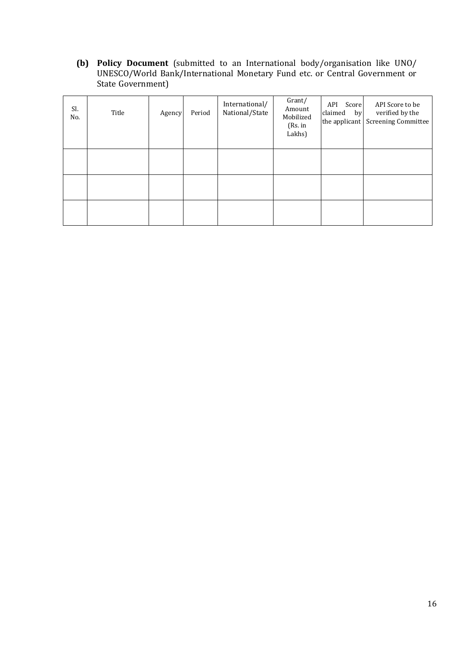**(b) Policy Document** (submitted to an International body/organisation like UNO/ UNESCO/World Bank/International Monetary Fund etc. or Central Government or State Government)

| Sl.<br>No. | Title | Agency | Period | International/<br>National/State | Grant/<br>Amount<br>Mobilized<br>(Rs. in<br>Lakhs) | API Score<br>claimed by<br>the applicant | API Score to be<br>verified by the<br><b>Screening Committee</b> |
|------------|-------|--------|--------|----------------------------------|----------------------------------------------------|------------------------------------------|------------------------------------------------------------------|
|            |       |        |        |                                  |                                                    |                                          |                                                                  |
|            |       |        |        |                                  |                                                    |                                          |                                                                  |
|            |       |        |        |                                  |                                                    |                                          |                                                                  |